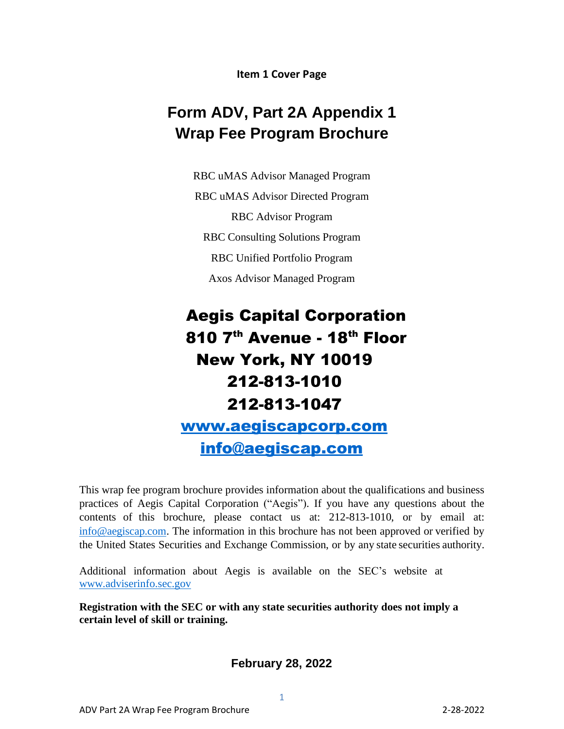**Item 1 Cover Page**

# **Form ADV, Part 2A Appendix 1 Wrap Fee Program Brochure**

RBC uMAS Advisor Managed Program RBC uMAS Advisor Directed Program RBC Advisor Program RBC Consulting Solutions Program RBC Unified Portfolio Program Axos Advisor Managed Program

# Aegis Capital Corporation 810 7<sup>th</sup> Avenue - 18<sup>th</sup> Floor New York, NY 10019 212-813-1010 212-813-1047 [www.aegiscapcorp.com](http://www.aegiscapcorp.com/) [info@aegiscap.com](mailto:info@aegiscap.com)

This wrap fee program brochure provides information about the qualifications and business practices of Aegis Capital Corporation ("Aegis"). If you have any questions about the contents of this brochure, please contact us at: 212-813-1010, or by email at: [info@aegiscap.com.](mailto:info@aegiscap.com) The information in this brochure has not been approved or verified by the United States Securities and Exchange Commission, or by any state securities authority.

Additional information about Aegis is available on the SEC's website at [www.adviserinfo.sec.gov](http://www.adviserinfo.sec.gov/)

**Registration with the SEC or with any state securities authority does not imply a certain level of skill or training.**

**February 28, 2022**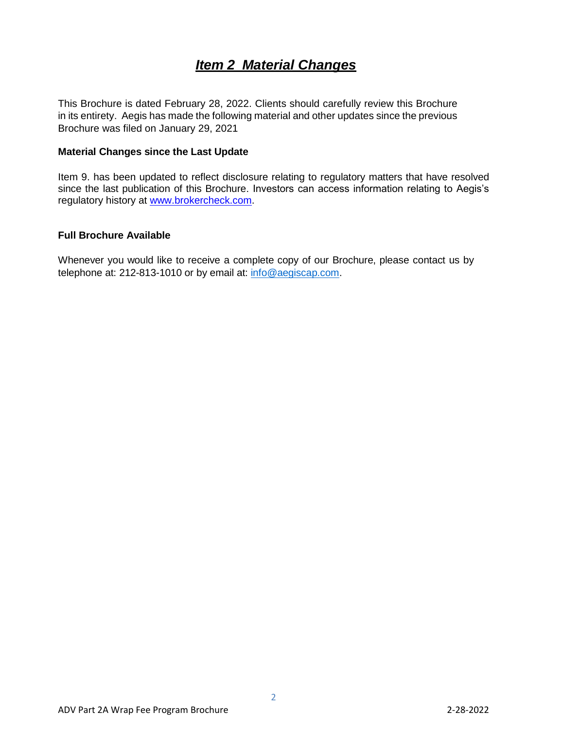# *Item 2 Material Changes*

<span id="page-1-1"></span><span id="page-1-0"></span>This Brochure is dated February 28, 2022. Clients should carefully review this Brochure in its entirety. Aegis has made the following material and other updates since the previous Brochure was filed on January 29, 2021

#### <span id="page-1-2"></span>**Material Changes since the Last Update**

Item 9. has been updated to reflect disclosure relating to regulatory matters that have resolved since the last publication of this Brochure. Investors can access information relating to Aegis's regulatory history at [www.brokercheck.com.](http://www.brokercheck.com/)

#### <span id="page-1-3"></span>**Full Brochure Available**

Whenever you would like to receive a complete copy of our Brochure, please contact us by telephone at: 212-813-1010 or by email at: [info@aegiscap.com.](mailto:info@aegiscap.com)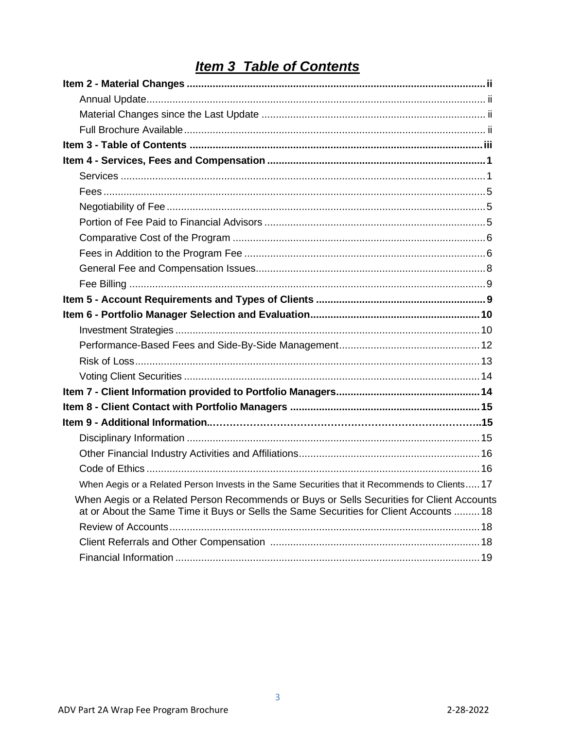# **Item 3 Table of Contents**

| When Aegis or a Related Person Invests in the Same Securities that it Recommends to Clients 17                                                                                      |  |
|-------------------------------------------------------------------------------------------------------------------------------------------------------------------------------------|--|
| When Aegis or a Related Person Recommends or Buys or Sells Securities for Client Accounts<br>at or About the Same Time it Buys or Sells the Same Securities for Client Accounts  18 |  |
|                                                                                                                                                                                     |  |
|                                                                                                                                                                                     |  |
|                                                                                                                                                                                     |  |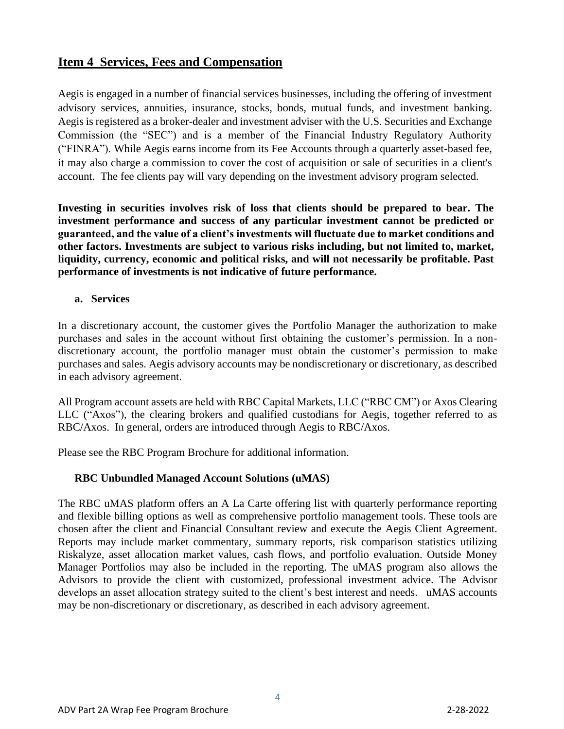# **Item 4 Services, Fees and Compensation**

Aegis is engaged in a number of financial services businesses, including the offering of investment advisory services, annuities, insurance, stocks, bonds, mutual funds, and investment banking. Aegis is registered as a broker-dealer and investment adviser with the U.S. Securities and Exchange Commission (the "SEC") and is a member of the Financial Industry Regulatory Authority ("FINRA"). While Aegis earns income from its Fee Accounts through a quarterly asset-based fee, it may also charge a commission to cover the cost of acquisition or sale of securities in a client's account. The fee clients pay will vary depending on the investment advisory program selected.

**Investing in securities involves risk of loss that clients should be prepared to bear. The investment performance and success of any particular investment cannot be predicted or guaranteed, and the value of a client's investments will fluctuate due to market conditions and other factors. Investments are subject to various risks including, but not limited to, market, liquidity, currency, economic and political risks, and will not necessarily be profitable. Past performance of investments is not indicative of future performance.** 

#### **a. Services**

In a discretionary account, the customer gives the Portfolio Manager the authorization to make purchases and sales in the account without first obtaining the customer's permission. In a nondiscretionary account, the portfolio manager must obtain the customer's permission to make purchases and sales. Aegis advisory accounts may be nondiscretionary or discretionary, as described in each advisory agreement.

All Program account assets are held with RBC Capital Markets, LLC ("RBC CM") or Axos Clearing LLC ("Axos"), the clearing brokers and qualified custodians for Aegis, together referred to as RBC/Axos. In general, orders are introduced through Aegis to RBC/Axos.

Please see the RBC Program Brochure for additional information.

#### **RBC Unbundled Managed Account Solutions (uMAS)**

The RBC uMAS platform offers an A La Carte offering list with quarterly performance reporting and flexible billing options as well as comprehensive portfolio management tools. These tools are chosen after the client and Financial Consultant review and execute the Aegis Client Agreement. Reports may include market commentary, summary reports, risk comparison statistics utilizing Riskalyze, asset allocation market values, cash flows, and portfolio evaluation. Outside Money Manager Portfolios may also be included in the reporting. The uMAS program also allows the Advisors to provide the client with customized, professional investment advice. The Advisor develops an asset allocation strategy suited to the client's best interest and needs. uMAS accounts may be non-discretionary or discretionary, as described in each advisory agreement.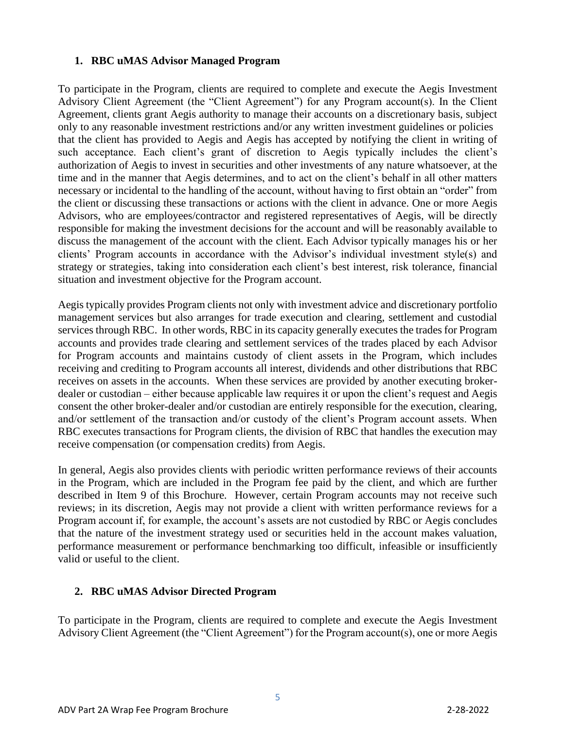#### **1. RBC uMAS Advisor Managed Program**

To participate in the Program, clients are required to complete and execute the Aegis Investment Advisory Client Agreement (the "Client Agreement") for any Program account(s). In the Client Agreement, clients grant Aegis authority to manage their accounts on a discretionary basis, subject only to any reasonable investment restrictions and/or any written investment guidelines or policies that the client has provided to Aegis and Aegis has accepted by notifying the client in writing of such acceptance. Each client's grant of discretion to Aegis typically includes the client's authorization of Aegis to invest in securities and other investments of any nature whatsoever, at the time and in the manner that Aegis determines, and to act on the client's behalf in all other matters necessary or incidental to the handling of the account, without having to first obtain an "order" from the client or discussing these transactions or actions with the client in advance. One or more Aegis Advisors, who are employees/contractor and registered representatives of Aegis, will be directly responsible for making the investment decisions for the account and will be reasonably available to discuss the management of the account with the client. Each Advisor typically manages his or her clients' Program accounts in accordance with the Advisor's individual investment style(s) and strategy or strategies, taking into consideration each client's best interest, risk tolerance, financial situation and investment objective for the Program account.

Aegis typically provides Program clients not only with investment advice and discretionary portfolio management services but also arranges for trade execution and clearing, settlement and custodial services through RBC. In other words, RBC in its capacity generally executes the trades for Program accounts and provides trade clearing and settlement services of the trades placed by each Advisor for Program accounts and maintains custody of client assets in the Program, which includes receiving and crediting to Program accounts all interest, dividends and other distributions that RBC receives on assets in the accounts. When these services are provided by another executing brokerdealer or custodian – either because applicable law requires it or upon the client's request and Aegis consent the other broker-dealer and/or custodian are entirely responsible for the execution, clearing, and/or settlement of the transaction and/or custody of the client's Program account assets. When RBC executes transactions for Program clients, the division of RBC that handles the execution may receive compensation (or compensation credits) from Aegis.

In general, Aegis also provides clients with periodic written performance reviews of their accounts in the Program, which are included in the Program fee paid by the client, and which are further described in Item 9 of this Brochure. However, certain Program accounts may not receive such reviews; in its discretion, Aegis may not provide a client with written performance reviews for a Program account if, for example, the account's assets are not custodied by RBC or Aegis concludes that the nature of the investment strategy used or securities held in the account makes valuation, performance measurement or performance benchmarking too difficult, infeasible or insufficiently valid or useful to the client.

#### **2. RBC uMAS Advisor Directed Program**

To participate in the Program, clients are required to complete and execute the Aegis Investment Advisory Client Agreement (the "Client Agreement") for the Program account(s), one or more Aegis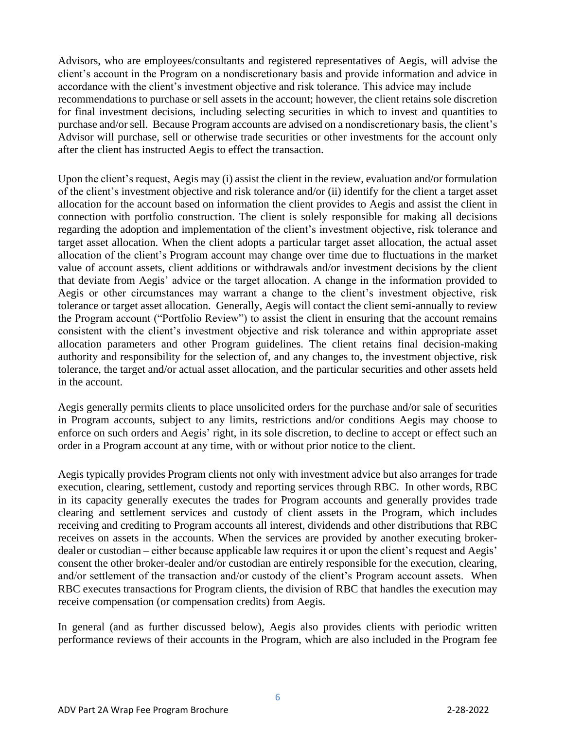Advisors, who are employees/consultants and registered representatives of Aegis, will advise the client's account in the Program on a nondiscretionary basis and provide information and advice in accordance with the client's investment objective and risk tolerance. This advice may include recommendations to purchase or sell assets in the account; however, the client retains sole discretion for final investment decisions, including selecting securities in which to invest and quantities to purchase and/or sell. Because Program accounts are advised on a nondiscretionary basis, the client's Advisor will purchase, sell or otherwise trade securities or other investments for the account only after the client has instructed Aegis to effect the transaction.

Upon the client's request, Aegis may (i) assist the client in the review, evaluation and/or formulation of the client's investment objective and risk tolerance and/or (ii) identify for the client a target asset allocation for the account based on information the client provides to Aegis and assist the client in connection with portfolio construction. The client is solely responsible for making all decisions regarding the adoption and implementation of the client's investment objective, risk tolerance and target asset allocation. When the client adopts a particular target asset allocation, the actual asset allocation of the client's Program account may change over time due to fluctuations in the market value of account assets, client additions or withdrawals and/or investment decisions by the client that deviate from Aegis' advice or the target allocation. A change in the information provided to Aegis or other circumstances may warrant a change to the client's investment objective, risk tolerance or target asset allocation. Generally, Aegis will contact the client semi-annually to review the Program account ("Portfolio Review") to assist the client in ensuring that the account remains consistent with the client's investment objective and risk tolerance and within appropriate asset allocation parameters and other Program guidelines. The client retains final decision-making authority and responsibility for the selection of, and any changes to, the investment objective, risk tolerance, the target and/or actual asset allocation, and the particular securities and other assets held in the account.

Aegis generally permits clients to place unsolicited orders for the purchase and/or sale of securities in Program accounts, subject to any limits, restrictions and/or conditions Aegis may choose to enforce on such orders and Aegis' right, in its sole discretion, to decline to accept or effect such an order in a Program account at any time, with or without prior notice to the client.

Aegis typically provides Program clients not only with investment advice but also arranges for trade execution, clearing, settlement, custody and reporting services through RBC. In other words, RBC in its capacity generally executes the trades for Program accounts and generally provides trade clearing and settlement services and custody of client assets in the Program, which includes receiving and crediting to Program accounts all interest, dividends and other distributions that RBC receives on assets in the accounts. When the services are provided by another executing brokerdealer or custodian – either because applicable law requires it or upon the client's request and Aegis' consent the other broker-dealer and/or custodian are entirely responsible for the execution, clearing, and/or settlement of the transaction and/or custody of the client's Program account assets. When RBC executes transactions for Program clients, the division of RBC that handles the execution may receive compensation (or compensation credits) from Aegis.

In general (and as further discussed below), Aegis also provides clients with periodic written performance reviews of their accounts in the Program, which are also included in the Program fee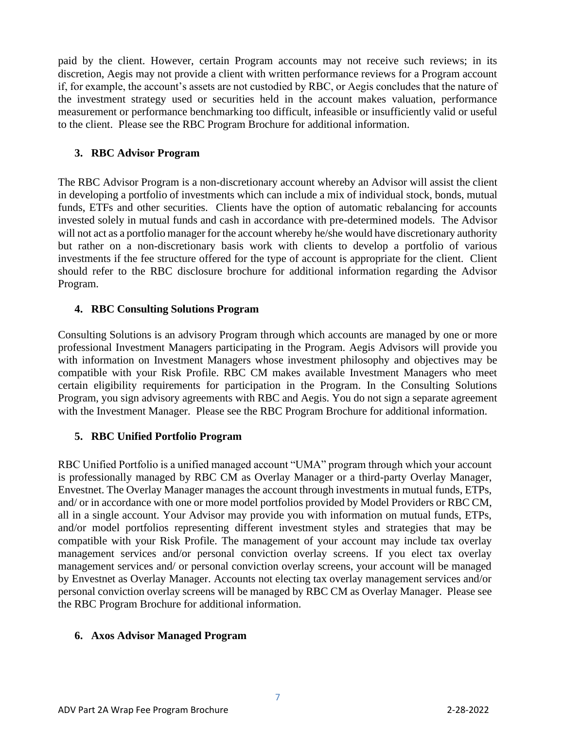paid by the client. However, certain Program accounts may not receive such reviews; in its discretion, Aegis may not provide a client with written performance reviews for a Program account if, for example, the account's assets are not custodied by RBC, or Aegis concludes that the nature of the investment strategy used or securities held in the account makes valuation, performance measurement or performance benchmarking too difficult, infeasible or insufficiently valid or useful to the client. Please see the RBC Program Brochure for additional information.

#### **3. RBC Advisor Program**

The RBC Advisor Program is a non-discretionary account whereby an Advisor will assist the client in developing a portfolio of investments which can include a mix of individual stock, bonds, mutual funds, ETFs and other securities. Clients have the option of automatic rebalancing for accounts invested solely in mutual funds and cash in accordance with pre-determined models. The Advisor will not act as a portfolio manager for the account whereby he/she would have discretionary authority but rather on a non-discretionary basis work with clients to develop a portfolio of various investments if the fee structure offered for the type of account is appropriate for the client. Client should refer to the RBC disclosure brochure for additional information regarding the Advisor Program.

#### **4. RBC Consulting Solutions Program**

Consulting Solutions is an advisory Program through which accounts are managed by one or more professional Investment Managers participating in the Program. Aegis Advisors will provide you with information on Investment Managers whose investment philosophy and objectives may be compatible with your Risk Profile. RBC CM makes available Investment Managers who meet certain eligibility requirements for participation in the Program. In the Consulting Solutions Program, you sign advisory agreements with RBC and Aegis. You do not sign a separate agreement with the Investment Manager. Please see the RBC Program Brochure for additional information.

#### **5. RBC Unified Portfolio Program**

RBC Unified Portfolio is a unified managed account "UMA" program through which your account is professionally managed by RBC CM as Overlay Manager or a third-party Overlay Manager, Envestnet. The Overlay Manager manages the account through investments in mutual funds, ETPs, and/ or in accordance with one or more model portfolios provided by Model Providers or RBC CM, all in a single account. Your Advisor may provide you with information on mutual funds, ETPs, and/or model portfolios representing different investment styles and strategies that may be compatible with your Risk Profile. The management of your account may include tax overlay management services and/or personal conviction overlay screens. If you elect tax overlay management services and/ or personal conviction overlay screens, your account will be managed by Envestnet as Overlay Manager. Accounts not electing tax overlay management services and/or personal conviction overlay screens will be managed by RBC CM as Overlay Manager. Please see the RBC Program Brochure for additional information.

#### **6. Axos Advisor Managed Program**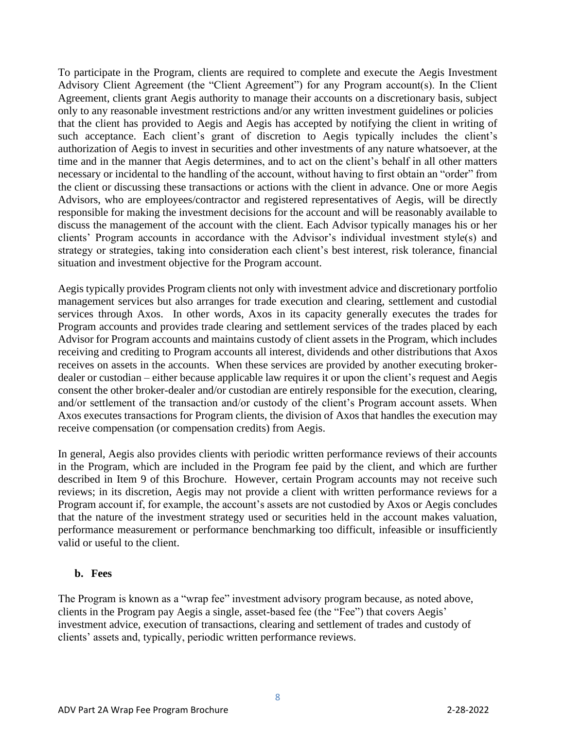To participate in the Program, clients are required to complete and execute the Aegis Investment Advisory Client Agreement (the "Client Agreement") for any Program account(s). In the Client Agreement, clients grant Aegis authority to manage their accounts on a discretionary basis, subject only to any reasonable investment restrictions and/or any written investment guidelines or policies that the client has provided to Aegis and Aegis has accepted by notifying the client in writing of such acceptance. Each client's grant of discretion to Aegis typically includes the client's authorization of Aegis to invest in securities and other investments of any nature whatsoever, at the time and in the manner that Aegis determines, and to act on the client's behalf in all other matters necessary or incidental to the handling of the account, without having to first obtain an "order" from the client or discussing these transactions or actions with the client in advance. One or more Aegis Advisors, who are employees/contractor and registered representatives of Aegis, will be directly responsible for making the investment decisions for the account and will be reasonably available to discuss the management of the account with the client. Each Advisor typically manages his or her clients' Program accounts in accordance with the Advisor's individual investment style(s) and strategy or strategies, taking into consideration each client's best interest, risk tolerance, financial situation and investment objective for the Program account.

Aegis typically provides Program clients not only with investment advice and discretionary portfolio management services but also arranges for trade execution and clearing, settlement and custodial services through Axos. In other words, Axos in its capacity generally executes the trades for Program accounts and provides trade clearing and settlement services of the trades placed by each Advisor for Program accounts and maintains custody of client assets in the Program, which includes receiving and crediting to Program accounts all interest, dividends and other distributions that Axos receives on assets in the accounts. When these services are provided by another executing brokerdealer or custodian – either because applicable law requires it or upon the client's request and Aegis consent the other broker-dealer and/or custodian are entirely responsible for the execution, clearing, and/or settlement of the transaction and/or custody of the client's Program account assets. When Axos executes transactions for Program clients, the division of Axos that handles the execution may receive compensation (or compensation credits) from Aegis.

In general, Aegis also provides clients with periodic written performance reviews of their accounts in the Program, which are included in the Program fee paid by the client, and which are further described in Item 9 of this Brochure. However, certain Program accounts may not receive such reviews; in its discretion, Aegis may not provide a client with written performance reviews for a Program account if, for example, the account's assets are not custodied by Axos or Aegis concludes that the nature of the investment strategy used or securities held in the account makes valuation, performance measurement or performance benchmarking too difficult, infeasible or insufficiently valid or useful to the client.

#### <span id="page-7-0"></span>**b. Fees**

The Program is known as a "wrap fee" investment advisory program because, as noted above, clients in the Program pay Aegis a single, asset-based fee (the "Fee") that covers Aegis' investment advice, execution of transactions, clearing and settlement of trades and custody of clients' assets and, typically, periodic written performance reviews.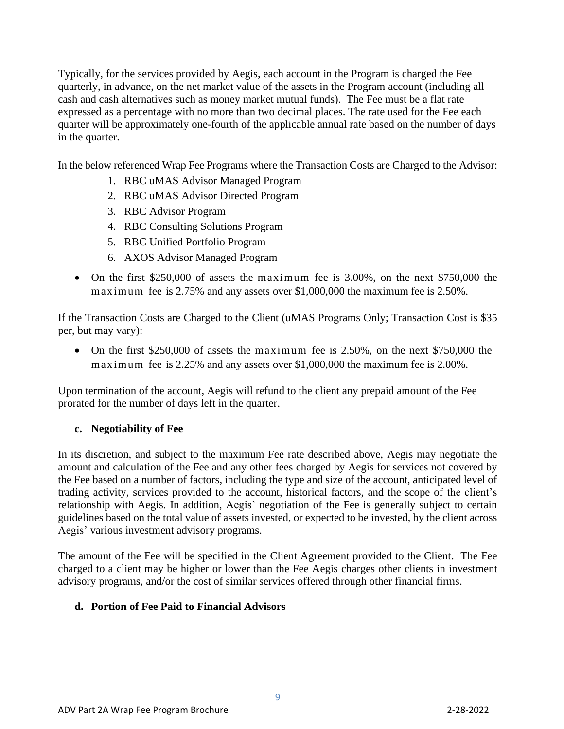Typically, for the services provided by Aegis, each account in the Program is charged the Fee quarterly, in advance, on the net market value of the assets in the Program account (including all cash and cash alternatives such as money market mutual funds). The Fee must be a flat rate expressed as a percentage with no more than two decimal places. The rate used for the Fee each quarter will be approximately one-fourth of the applicable annual rate based on the number of days in the quarter.

In the below referenced Wrap Fee Programs where the Transaction Costs are Charged to the Advisor:

- 1. RBC uMAS Advisor Managed Program
- 2. RBC uMAS Advisor Directed Program
- 3. RBC Advisor Program
- 4. RBC Consulting Solutions Program
- 5. RBC Unified Portfolio Program
- 6. AXOS Advisor Managed Program
- On the first \$250,000 of assets the maximum fee is 3.00%, on the next \$750,000 the maximum fee is 2.75% and any assets over \$1,000,000 the maximum fee is 2.50%.

If the Transaction Costs are Charged to the Client (uMAS Programs Only; Transaction Cost is \$35 per, but may vary):

• On the first \$250,000 of assets the maximum fee is 2.50%, on the next \$750,000 the maximum fee is 2.25% and any assets over \$1,000,000 the maximum fee is 2.00%.

Upon termination of the account, Aegis will refund to the client any prepaid amount of the Fee prorated for the number of days left in the quarter.

#### **c. Negotiability of Fee**

In its discretion, and subject to the maximum Fee rate described above, Aegis may negotiate the amount and calculation of the Fee and any other fees charged by Aegis for services not covered by the Fee based on a number of factors, including the type and size of the account, anticipated level of trading activity, services provided to the account, historical factors, and the scope of the client's relationship with Aegis. In addition, Aegis' negotiation of the Fee is generally subject to certain guidelines based on the total value of assets invested, or expected to be invested, by the client across Aegis' various investment advisory programs.

The amount of the Fee will be specified in the Client Agreement provided to the Client. The Fee charged to a client may be higher or lower than the Fee Aegis charges other clients in investment advisory programs, and/or the cost of similar services offered through other financial firms.

#### **d. Portion of Fee Paid to Financial Advisors**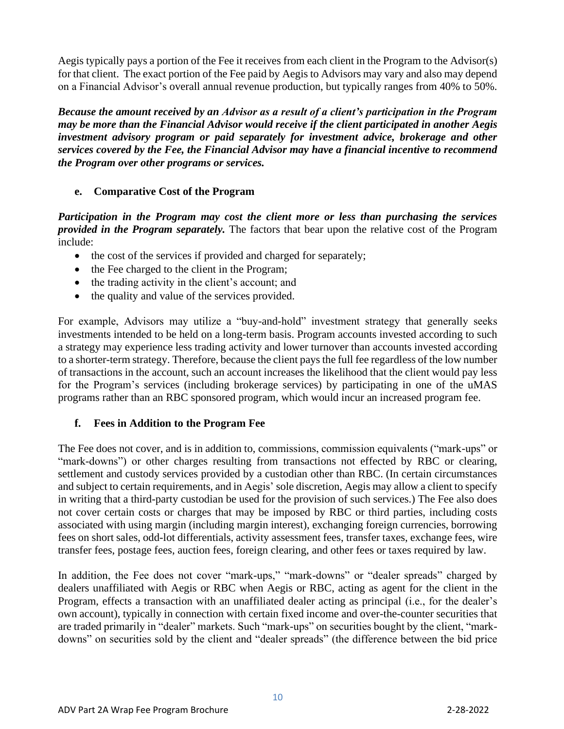Aegis typically pays a portion of the Fee it receives from each client in the Program to the Advisor(s) for that client. The exact portion of the Fee paid by Aegis to Advisors may vary and also may depend on a Financial Advisor's overall annual revenue production, but typically ranges from 40% to 50%.

*Because the amount received by an Advisor as a result of a client's participation in the Program may be more than the Financial Advisor would receive if the client participated in another Aegis investment advisory program or paid separately for investment advice, brokerage and other services covered by the Fee, the Financial Advisor may have a financial incentive to recommend the Program over other programs or services.*

#### **e. Comparative Cost of the Program**

*Participation in the Program may cost the client more or less than purchasing the services provided in the Program separately.* The factors that bear upon the relative cost of the Program include:

- the cost of the services if provided and charged for separately;
- the Fee charged to the client in the Program;
- the trading activity in the client's account; and
- the quality and value of the services provided.

For example, Advisors may utilize a "buy-and-hold" investment strategy that generally seeks investments intended to be held on a long-term basis. Program accounts invested according to such a strategy may experience less trading activity and lower turnover than accounts invested according to a shorter-term strategy. Therefore, because the client pays the full fee regardless of the low number of transactions in the account, such an account increases the likelihood that the client would pay less for the Program's services (including brokerage services) by participating in one of the uMAS programs rather than an RBC sponsored program, which would incur an increased program fee.

#### **f. Fees in Addition to the Program Fee**

The Fee does not cover, and is in addition to, commissions, commission equivalents ("mark-ups" or "mark-downs") or other charges resulting from transactions not effected by RBC or clearing, settlement and custody services provided by a custodian other than RBC. (In certain circumstances and subject to certain requirements, and in Aegis' sole discretion, Aegis may allow a client to specify in writing that a third-party custodian be used for the provision of such services.) The Fee also does not cover certain costs or charges that may be imposed by RBC or third parties, including costs associated with using margin (including margin interest), exchanging foreign currencies, borrowing fees on short sales, odd-lot differentials, activity assessment fees, transfer taxes, exchange fees, wire transfer fees, postage fees, auction fees, foreign clearing, and other fees or taxes required by law.

In addition, the Fee does not cover "mark-ups," "mark-downs" or "dealer spreads" charged by dealers unaffiliated with Aegis or RBC when Aegis or RBC, acting as agent for the client in the Program, effects a transaction with an unaffiliated dealer acting as principal (i.e., for the dealer's own account), typically in connection with certain fixed income and over-the-counter securities that are traded primarily in "dealer" markets. Such "mark-ups" on securities bought by the client, "markdowns" on securities sold by the client and "dealer spreads" (the difference between the bid price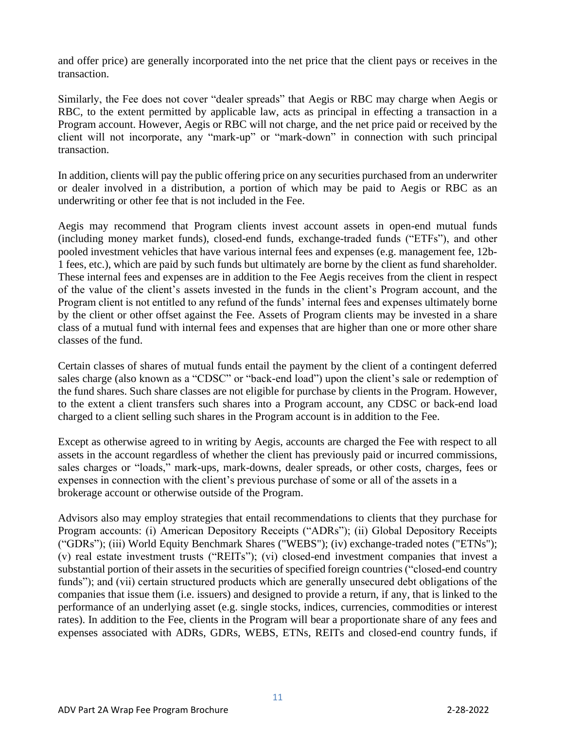and offer price) are generally incorporated into the net price that the client pays or receives in the transaction.

Similarly, the Fee does not cover "dealer spreads" that Aegis or RBC may charge when Aegis or RBC, to the extent permitted by applicable law, acts as principal in effecting a transaction in a Program account. However, Aegis or RBC will not charge, and the net price paid or received by the client will not incorporate, any "mark-up" or "mark-down" in connection with such principal transaction.

In addition, clients will pay the public offering price on any securities purchased from an underwriter or dealer involved in a distribution, a portion of which may be paid to Aegis or RBC as an underwriting or other fee that is not included in the Fee.

Aegis may recommend that Program clients invest account assets in open-end mutual funds (including money market funds), closed-end funds, exchange-traded funds ("ETFs"), and other pooled investment vehicles that have various internal fees and expenses (e.g. management fee, 12b-1 fees, etc.), which are paid by such funds but ultimately are borne by the client as fund shareholder. These internal fees and expenses are in addition to the Fee Aegis receives from the client in respect of the value of the client's assets invested in the funds in the client's Program account, and the Program client is not entitled to any refund of the funds' internal fees and expenses ultimately borne by the client or other offset against the Fee. Assets of Program clients may be invested in a share class of a mutual fund with internal fees and expenses that are higher than one or more other share classes of the fund.

Certain classes of shares of mutual funds entail the payment by the client of a contingent deferred sales charge (also known as a "CDSC" or "back-end load") upon the client's sale or redemption of the fund shares. Such share classes are not eligible for purchase by clients in the Program. However, to the extent a client transfers such shares into a Program account, any CDSC or back-end load charged to a client selling such shares in the Program account is in addition to the Fee.

Except as otherwise agreed to in writing by Aegis, accounts are charged the Fee with respect to all assets in the account regardless of whether the client has previously paid or incurred commissions, sales charges or "loads," mark-ups, mark-downs, dealer spreads, or other costs, charges, fees or expenses in connection with the client's previous purchase of some or all of the assets in a brokerage account or otherwise outside of the Program.

Advisors also may employ strategies that entail recommendations to clients that they purchase for Program accounts: (i) American Depository Receipts ("ADRs"); (ii) Global Depository Receipts ("GDRs"); (iii) World Equity Benchmark Shares ("WEBS"); (iv) exchange-traded notes ("ETNs"); (v) real estate investment trusts ("REITs"); (vi) closed-end investment companies that invest a substantial portion of their assets in the securities of specified foreign countries ("closed-end country funds"); and (vii) certain structured products which are generally unsecured debt obligations of the companies that issue them (i.e. issuers) and designed to provide a return, if any, that is linked to the performance of an underlying asset (e.g. single stocks, indices, currencies, commodities or interest rates). In addition to the Fee, clients in the Program will bear a proportionate share of any fees and expenses associated with ADRs, GDRs, WEBS, ETNs, REITs and closed-end country funds, if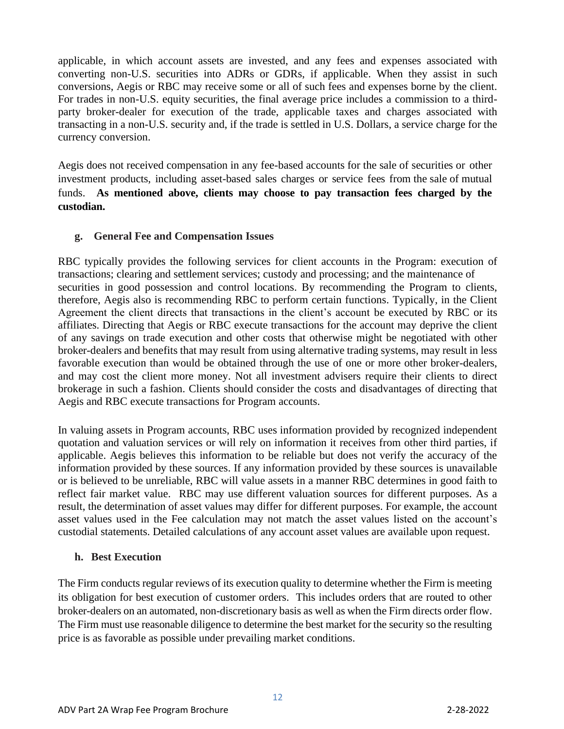applicable, in which account assets are invested, and any fees and expenses associated with converting non-U.S. securities into ADRs or GDRs, if applicable. When they assist in such conversions, Aegis or RBC may receive some or all of such fees and expenses borne by the client. For trades in non-U.S. equity securities, the final average price includes a commission to a thirdparty broker-dealer for execution of the trade, applicable taxes and charges associated with transacting in a non-U.S. security and, if the trade is settled in U.S. Dollars, a service charge for the currency conversion.

Aegis does not received compensation in any fee-based accounts for the sale of securities or other investment products, including asset-based sales charges or service fees from the sale of mutual funds. **As mentioned above, clients may choose to pay transaction fees charged by the custodian.**

#### **g. General Fee and Compensation Issues**

RBC typically provides the following services for client accounts in the Program: execution of transactions; clearing and settlement services; custody and processing; and the maintenance of securities in good possession and control locations. By recommending the Program to clients, therefore, Aegis also is recommending RBC to perform certain functions. Typically, in the Client Agreement the client directs that transactions in the client's account be executed by RBC or its affiliates. Directing that Aegis or RBC execute transactions for the account may deprive the client of any savings on trade execution and other costs that otherwise might be negotiated with other broker-dealers and benefits that may result from using alternative trading systems, may result in less favorable execution than would be obtained through the use of one or more other broker-dealers, and may cost the client more money. Not all investment advisers require their clients to direct brokerage in such a fashion. Clients should consider the costs and disadvantages of directing that Aegis and RBC execute transactions for Program accounts.

In valuing assets in Program accounts, RBC uses information provided by recognized independent quotation and valuation services or will rely on information it receives from other third parties, if applicable. Aegis believes this information to be reliable but does not verify the accuracy of the information provided by these sources. If any information provided by these sources is unavailable or is believed to be unreliable, RBC will value assets in a manner RBC determines in good faith to reflect fair market value. RBC may use different valuation sources for different purposes. As a result, the determination of asset values may differ for different purposes. For example, the account asset values used in the Fee calculation may not match the asset values listed on the account's custodial statements. Detailed calculations of any account asset values are available upon request.

#### **h. Best Execution**

The Firm conducts regular reviews of its execution quality to determine whether the Firm is meeting its obligation for best execution of customer orders. This includes orders that are routed to other broker-dealers on an automated, non-discretionary basis as well as when the Firm directs order flow. The Firm must use reasonable diligence to determine the best market for the security so the resulting price is as favorable as possible under prevailing market conditions.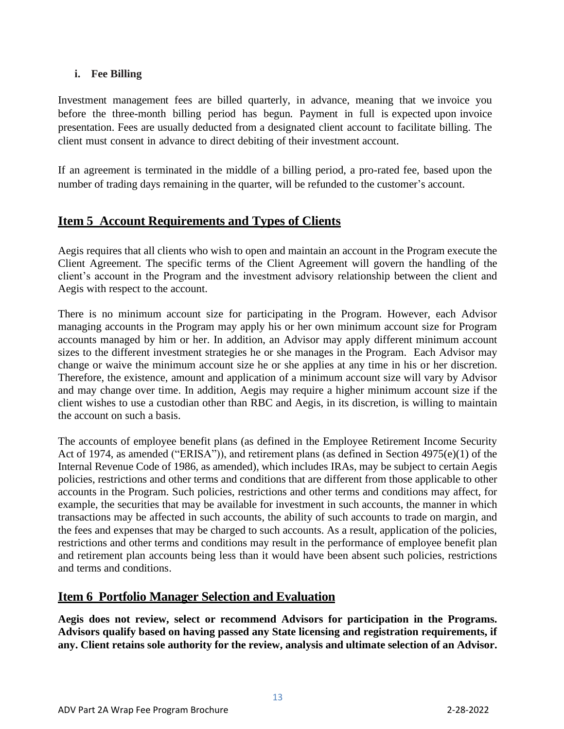### **i. Fee Billing**

Investment management fees are billed quarterly, in advance, meaning that we invoice you before the three-month billing period has begun. Payment in full is expected upon invoice presentation. Fees are usually deducted from a designated client account to facilitate billing. The client must consent in advance to direct debiting of their investment account.

If an agreement is terminated in the middle of a billing period, a pro-rated fee, based upon the number of trading days remaining in the quarter, will be refunded to the customer's account.

# <span id="page-12-0"></span>**Item 5 Account Requirements and Types of Clients**

Aegis requires that all clients who wish to open and maintain an account in the Program execute the Client Agreement. The specific terms of the Client Agreement will govern the handling of the client's account in the Program and the investment advisory relationship between the client and Aegis with respect to the account.

There is no minimum account size for participating in the Program. However, each Advisor managing accounts in the Program may apply his or her own minimum account size for Program accounts managed by him or her. In addition, an Advisor may apply different minimum account sizes to the different investment strategies he or she manages in the Program. Each Advisor may change or waive the minimum account size he or she applies at any time in his or her discretion. Therefore, the existence, amount and application of a minimum account size will vary by Advisor and may change over time. In addition, Aegis may require a higher minimum account size if the client wishes to use a custodian other than RBC and Aegis, in its discretion, is willing to maintain the account on such a basis.

The accounts of employee benefit plans (as defined in the Employee Retirement Income Security Act of 1974, as amended ("ERISA")), and retirement plans (as defined in Section 4975(e)(1) of the Internal Revenue Code of 1986, as amended), which includes IRAs, may be subject to certain Aegis policies, restrictions and other terms and conditions that are different from those applicable to other accounts in the Program. Such policies, restrictions and other terms and conditions may affect, for example, the securities that may be available for investment in such accounts, the manner in which transactions may be affected in such accounts, the ability of such accounts to trade on margin, and the fees and expenses that may be charged to such accounts. As a result, application of the policies, restrictions and other terms and conditions may result in the performance of employee benefit plan and retirement plan accounts being less than it would have been absent such policies, restrictions and terms and conditions.

## <span id="page-12-1"></span>**Item 6 Portfolio Manager Selection and Evaluation**

**Aegis does not review, select or recommend Advisors for participation in the Programs. Advisors qualify based on having passed any State licensing and registration requirements, if any. Client retains sole authority for the review, analysis and ultimate selection of an Advisor.**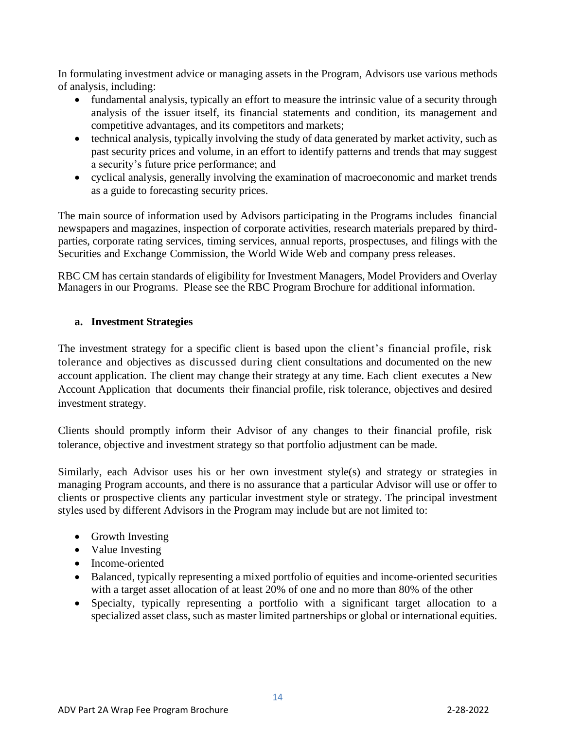In formulating investment advice or managing assets in the Program, Advisors use various methods of analysis, including:

- fundamental analysis, typically an effort to measure the intrinsic value of a security through analysis of the issuer itself, its financial statements and condition, its management and competitive advantages, and its competitors and markets;
- technical analysis, typically involving the study of data generated by market activity, such as past security prices and volume, in an effort to identify patterns and trends that may suggest a security's future price performance; and
- cyclical analysis, generally involving the examination of macroeconomic and market trends as a guide to forecasting security prices.

The main source of information used by Advisors participating in the Programs includes financial newspapers and magazines, inspection of corporate activities, research materials prepared by thirdparties, corporate rating services, timing services, annual reports, prospectuses, and filings with the Securities and Exchange Commission, the World Wide Web and company press releases.

RBC CM has certain standards of eligibility for Investment Managers, Model Providers and Overlay Managers in our Programs. Please see the RBC Program Brochure for additional information.

#### <span id="page-13-0"></span>**a. Investment Strategies**

The investment strategy for a specific client is based upon the client's financial profile, risk tolerance and objectives as discussed during client consultations and documented on the new account application. The client may change their strategy at any time. Each client executes a New Account Application that documents their financial profile, risk tolerance, objectives and desired investment strategy.

Clients should promptly inform their Advisor of any changes to their financial profile, risk tolerance, objective and investment strategy so that portfolio adjustment can be made.

<span id="page-13-1"></span>Similarly, each Advisor uses his or her own investment style(s) and strategy or strategies in managing Program accounts, and there is no assurance that a particular Advisor will use or offer to clients or prospective clients any particular investment style or strategy. The principal investment styles used by different Advisors in the Program may include but are not limited to:

- Growth Investing
- Value Investing
- Income-oriented
- Balanced, typically representing a mixed portfolio of equities and income-oriented securities with a target asset allocation of at least 20% of one and no more than 80% of the other
- Specialty, typically representing a portfolio with a significant target allocation to a specialized asset class, such as master limited partnerships or global or international equities.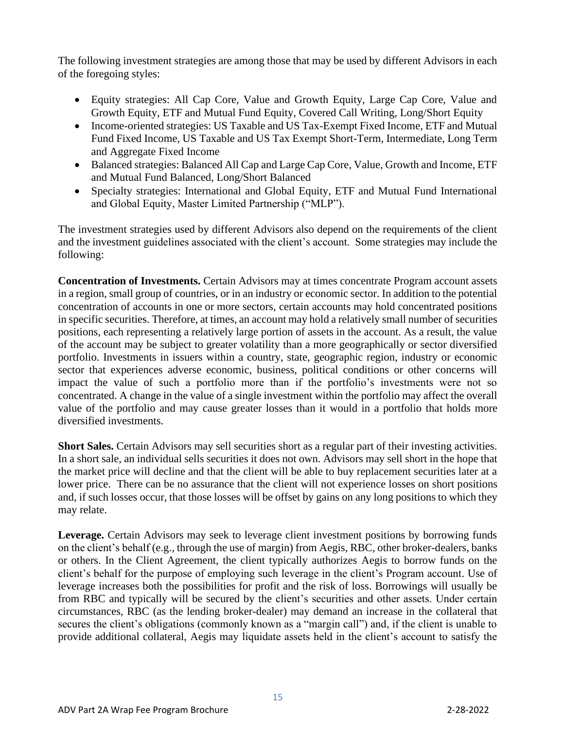The following investment strategies are among those that may be used by different Advisors in each of the foregoing styles:

- Equity strategies: All Cap Core, Value and Growth Equity, Large Cap Core, Value and Growth Equity, ETF and Mutual Fund Equity, Covered Call Writing, Long/Short Equity
- Income-oriented strategies: US Taxable and US Tax-Exempt Fixed Income, ETF and Mutual Fund Fixed Income, US Taxable and US Tax Exempt Short-Term, Intermediate, Long Term and Aggregate Fixed Income
- Balanced strategies: Balanced All Cap and Large Cap Core, Value, Growth and Income, ETF and Mutual Fund Balanced, Long/Short Balanced
- Specialty strategies: International and Global Equity, ETF and Mutual Fund International and Global Equity, Master Limited Partnership ("MLP").

The investment strategies used by different Advisors also depend on the requirements of the client and the investment guidelines associated with the client's account. Some strategies may include the following:

**Concentration of Investments.** Certain Advisors may at times concentrate Program account assets in a region, small group of countries, or in an industry or economic sector. In addition to the potential concentration of accounts in one or more sectors, certain accounts may hold concentrated positions in specific securities. Therefore, at times, an account may hold a relatively small number of securities positions, each representing a relatively large portion of assets in the account. As a result, the value of the account may be subject to greater volatility than a more geographically or sector diversified portfolio. Investments in issuers within a country, state, geographic region, industry or economic sector that experiences adverse economic, business, political conditions or other concerns will impact the value of such a portfolio more than if the portfolio's investments were not so concentrated. A change in the value of a single investment within the portfolio may affect the overall value of the portfolio and may cause greater losses than it would in a portfolio that holds more diversified investments.

**Short Sales.** Certain Advisors may sell securities short as a regular part of their investing activities. In a short sale, an individual sells securities it does not own. Advisors may sell short in the hope that the market price will decline and that the client will be able to buy replacement securities later at a lower price. There can be no assurance that the client will not experience losses on short positions and, if such losses occur, that those losses will be offset by gains on any long positions to which they may relate.

Leverage. Certain Advisors may seek to leverage client investment positions by borrowing funds on the client's behalf (e.g., through the use of margin) from Aegis, RBC, other broker-dealers, banks or others. In the Client Agreement, the client typically authorizes Aegis to borrow funds on the client's behalf for the purpose of employing such leverage in the client's Program account. Use of leverage increases both the possibilities for profit and the risk of loss. Borrowings will usually be from RBC and typically will be secured by the client's securities and other assets. Under certain circumstances, RBC (as the lending broker-dealer) may demand an increase in the collateral that secures the client's obligations (commonly known as a "margin call") and, if the client is unable to provide additional collateral, Aegis may liquidate assets held in the client's account to satisfy the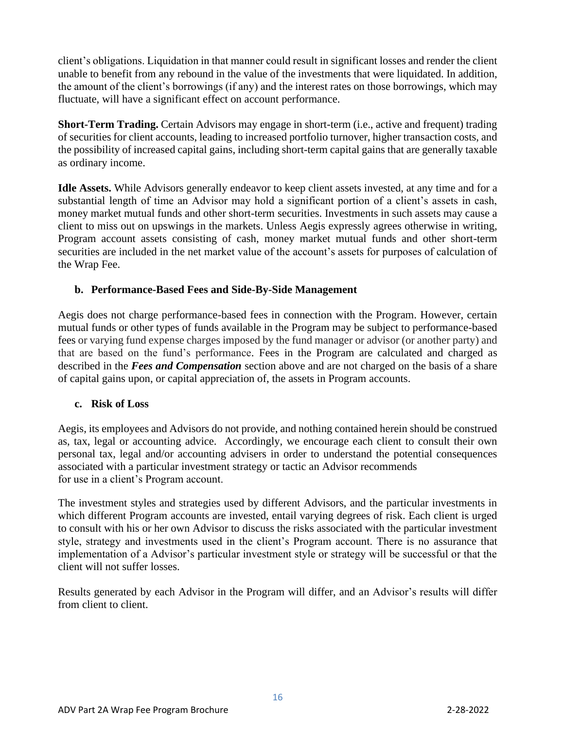client's obligations. Liquidation in that manner could result in significant losses and render the client unable to benefit from any rebound in the value of the investments that were liquidated. In addition, the amount of the client's borrowings (if any) and the interest rates on those borrowings, which may fluctuate, will have a significant effect on account performance.

**Short-Term Trading.** Certain Advisors may engage in short-term (i.e., active and frequent) trading of securities for client accounts, leading to increased portfolio turnover, higher transaction costs, and the possibility of increased capital gains, including short-term capital gains that are generally taxable as ordinary income.

**Idle Assets.** While Advisors generally endeavor to keep client assets invested, at any time and for a substantial length of time an Advisor may hold a significant portion of a client's assets in cash, money market mutual funds and other short-term securities. Investments in such assets may cause a client to miss out on upswings in the markets. Unless Aegis expressly agrees otherwise in writing, Program account assets consisting of cash, money market mutual funds and other short-term securities are included in the net market value of the account's assets for purposes of calculation of the Wrap Fee.

#### **b. Performance-Based Fees and Side-By-Side Management**

Aegis does not charge performance-based fees in connection with the Program. However, certain mutual funds or other types of funds available in the Program may be subject to performance-based fees or varying fund expense charges imposed by the fund manager or advisor (or another party) and that are based on the fund's performance. Fees in the Program are calculated and charged as described in the *Fees and Compensation* section above and are not charged on the basis of a share of capital gains upon, or capital appreciation of, the assets in Program accounts.

#### **c. Risk of Loss**

Aegis, its employees and Advisors do not provide, and nothing contained herein should be construed as, tax, legal or accounting advice. Accordingly, we encourage each client to consult their own personal tax, legal and/or accounting advisers in order to understand the potential consequences associated with a particular investment strategy or tactic an Advisor recommends for use in a client's Program account.

The investment styles and strategies used by different Advisors, and the particular investments in which different Program accounts are invested, entail varying degrees of risk. Each client is urged to consult with his or her own Advisor to discuss the risks associated with the particular investment style, strategy and investments used in the client's Program account. There is no assurance that implementation of a Advisor's particular investment style or strategy will be successful or that the client will not suffer losses.

Results generated by each Advisor in the Program will differ, and an Advisor's results will differ from client to client.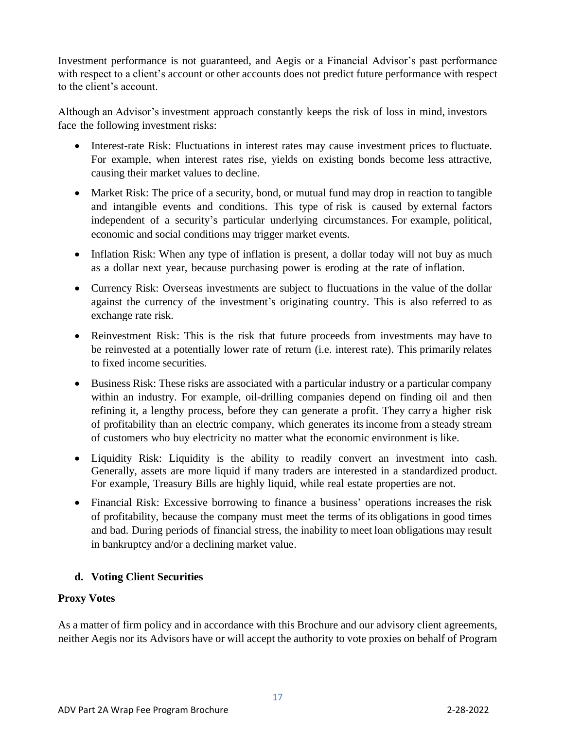Investment performance is not guaranteed, and Aegis or a Financial Advisor's past performance with respect to a client's account or other accounts does not predict future performance with respect to the client's account.

Although an Advisor's investment approach constantly keeps the risk of loss in mind, investors face the following investment risks:

- Interest-rate Risk: Fluctuations in interest rates may cause investment prices to fluctuate. For example, when interest rates rise, yields on existing bonds become less attractive, causing their market values to decline.
- Market Risk: The price of a security, bond, or mutual fund may drop in reaction to tangible and intangible events and conditions. This type of risk is caused by external factors independent of a security's particular underlying circumstances. For example, political, economic and social conditions may trigger market events.
- Inflation Risk: When any type of inflation is present, a dollar today will not buy as much as a dollar next year, because purchasing power is eroding at the rate of inflation.
- Currency Risk: Overseas investments are subject to fluctuations in the value of the dollar against the currency of the investment's originating country. This is also referred to as exchange rate risk.
- Reinvestment Risk: This is the risk that future proceeds from investments may have to be reinvested at a potentially lower rate of return (i.e. interest rate). This primarily relates to fixed income securities.
- Business Risk: These risks are associated with a particular industry or a particular company within an industry. For example, oil-drilling companies depend on finding oil and then refining it, a lengthy process, before they can generate a profit. They carry a higher risk of profitability than an electric company, which generates its income from a steady stream of customers who buy electricity no matter what the economic environment is like.
- Liquidity Risk: Liquidity is the ability to readily convert an investment into cash. Generally, assets are more liquid if many traders are interested in a standardized product. For example, Treasury Bills are highly liquid, while real estate properties are not.
- Financial Risk: Excessive borrowing to finance a business' operations increases the risk of profitability, because the company must meet the terms of its obligations in good times and bad. During periods of financial stress, the inability to meet loan obligations may result in bankruptcy and/or a declining market value.

## **d. Voting Client Securities**

#### **Proxy Votes**

As a matter of firm policy and in accordance with this Brochure and our advisory client agreements, neither Aegis nor its Advisors have or will accept the authority to vote proxies on behalf of Program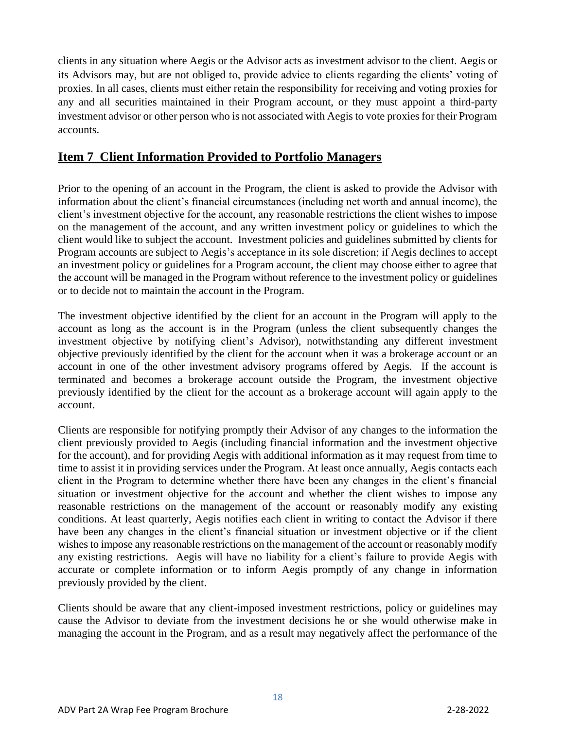clients in any situation where Aegis or the Advisor acts as investment advisor to the client. Aegis or its Advisors may, but are not obliged to, provide advice to clients regarding the clients' voting of proxies. In all cases, clients must either retain the responsibility for receiving and voting proxies for any and all securities maintained in their Program account, or they must appoint a third-party investment advisor or other person who is not associated with Aegis to vote proxies for their Program accounts.

## **Item 7 Client Information Provided to Portfolio Managers**

Prior to the opening of an account in the Program, the client is asked to provide the Advisor with information about the client's financial circumstances (including net worth and annual income), the client's investment objective for the account, any reasonable restrictions the client wishes to impose on the management of the account, and any written investment policy or guidelines to which the client would like to subject the account. Investment policies and guidelines submitted by clients for Program accounts are subject to Aegis's acceptance in its sole discretion; if Aegis declines to accept an investment policy or guidelines for a Program account, the client may choose either to agree that the account will be managed in the Program without reference to the investment policy or guidelines or to decide not to maintain the account in the Program.

The investment objective identified by the client for an account in the Program will apply to the account as long as the account is in the Program (unless the client subsequently changes the investment objective by notifying client's Advisor), notwithstanding any different investment objective previously identified by the client for the account when it was a brokerage account or an account in one of the other investment advisory programs offered by Aegis. If the account is terminated and becomes a brokerage account outside the Program, the investment objective previously identified by the client for the account as a brokerage account will again apply to the account.

Clients are responsible for notifying promptly their Advisor of any changes to the information the client previously provided to Aegis (including financial information and the investment objective for the account), and for providing Aegis with additional information as it may request from time to time to assist it in providing services under the Program. At least once annually, Aegis contacts each client in the Program to determine whether there have been any changes in the client's financial situation or investment objective for the account and whether the client wishes to impose any reasonable restrictions on the management of the account or reasonably modify any existing conditions. At least quarterly, Aegis notifies each client in writing to contact the Advisor if there have been any changes in the client's financial situation or investment objective or if the client wishes to impose any reasonable restrictions on the management of the account or reasonably modify any existing restrictions. Aegis will have no liability for a client's failure to provide Aegis with accurate or complete information or to inform Aegis promptly of any change in information previously provided by the client.

Clients should be aware that any client-imposed investment restrictions, policy or guidelines may cause the Advisor to deviate from the investment decisions he or she would otherwise make in managing the account in the Program, and as a result may negatively affect the performance of the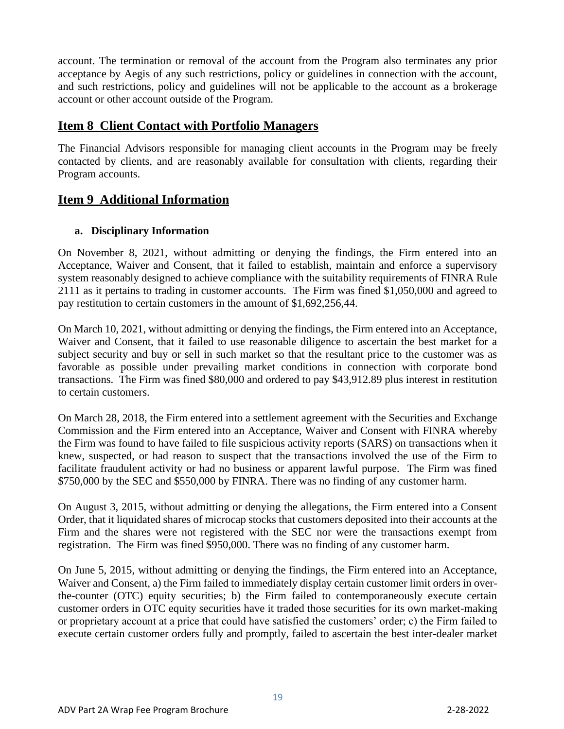account. The termination or removal of the account from the Program also terminates any prior acceptance by Aegis of any such restrictions, policy or guidelines in connection with the account, and such restrictions, policy and guidelines will not be applicable to the account as a brokerage account or other account outside of the Program.

# **Item 8****Client Contact with Portfolio Managers**

The Financial Advisors responsible for managing client accounts in the Program may be freely contacted by clients, and are reasonably available for consultation with clients, regarding their Program accounts.

# **Item 9 Additional Information**

#### **a. Disciplinary Information**

On November 8, 2021, without admitting or denying the findings, the Firm entered into an Acceptance, Waiver and Consent, that it failed to establish, maintain and enforce a supervisory system reasonably designed to achieve compliance with the suitability requirements of FINRA Rule 2111 as it pertains to trading in customer accounts. The Firm was fined \$1,050,000 and agreed to pay restitution to certain customers in the amount of \$1,692,256,44.

On March 10, 2021, without admitting or denying the findings, the Firm entered into an Acceptance, Waiver and Consent, that it failed to use reasonable diligence to ascertain the best market for a subject security and buy or sell in such market so that the resultant price to the customer was as favorable as possible under prevailing market conditions in connection with corporate bond transactions. The Firm was fined \$80,000 and ordered to pay \$43,912.89 plus interest in restitution to certain customers.

On March 28, 2018, the Firm entered into a settlement agreement with the Securities and Exchange Commission and the Firm entered into an Acceptance, Waiver and Consent with FINRA whereby the Firm was found to have failed to file suspicious activity reports (SARS) on transactions when it knew, suspected, or had reason to suspect that the transactions involved the use of the Firm to facilitate fraudulent activity or had no business or apparent lawful purpose. The Firm was fined \$750,000 by the SEC and \$550,000 by FINRA. There was no finding of any customer harm.

On August 3, 2015, without admitting or denying the allegations, the Firm entered into a Consent Order, that it liquidated shares of microcap stocks that customers deposited into their accounts at the Firm and the shares were not registered with the SEC nor were the transactions exempt from registration. The Firm was fined \$950,000. There was no finding of any customer harm.

On June 5, 2015, without admitting or denying the findings, the Firm entered into an Acceptance, Waiver and Consent, a) the Firm failed to immediately display certain customer limit orders in overthe-counter (OTC) equity securities; b) the Firm failed to contemporaneously execute certain customer orders in OTC equity securities have it traded those securities for its own market-making or proprietary account at a price that could have satisfied the customers' order; c) the Firm failed to execute certain customer orders fully and promptly, failed to ascertain the best inter-dealer market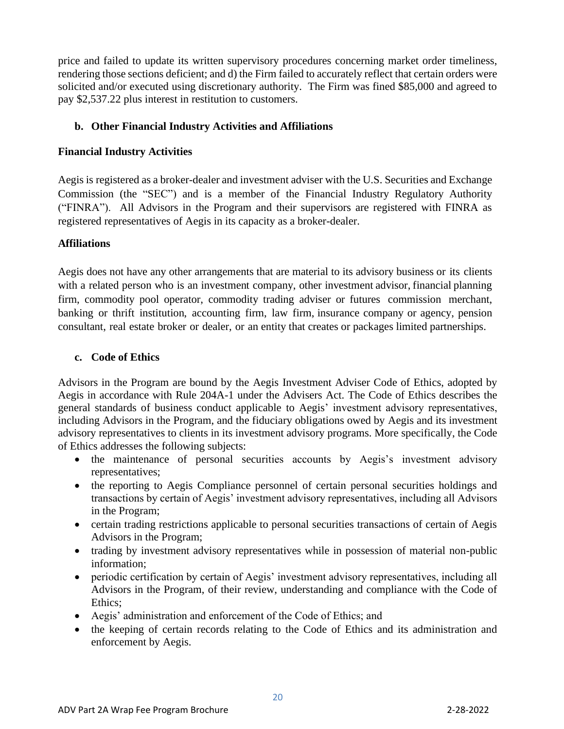price and failed to update its written supervisory procedures concerning market order timeliness, rendering those sections deficient; and d) the Firm failed to accurately reflect that certain orders were solicited and/or executed using discretionary authority. The Firm was fined \$85,000 and agreed to pay \$2,537.22 plus interest in restitution to customers.

#### <span id="page-19-0"></span>**b. Other Financial Industry Activities and Affiliations**

#### **Financial Industry Activities**

Aegis is registered as a broker-dealer and investment adviser with the U.S. Securities and Exchange Commission (the "SEC") and is a member of the Financial Industry Regulatory Authority ("FINRA"). All Advisors in the Program and their supervisors are registered with FINRA as registered representatives of Aegis in its capacity as a broker-dealer.

#### **Affiliations**

Aegis does not have any other arrangements that are material to its advisory business or its clients with a related person who is an investment company, other investment advisor, financial planning firm, commodity pool operator, commodity trading adviser or futures commission merchant, banking or thrift institution, accounting firm, law firm, insurance company or agency, pension consultant, real estate broker or dealer, or an entity that creates or packages limited partnerships.

#### <span id="page-19-1"></span>**c. Code of Ethics**

Advisors in the Program are bound by the Aegis Investment Adviser Code of Ethics, adopted by Aegis in accordance with Rule 204A-1 under the Advisers Act. The Code of Ethics describes the general standards of business conduct applicable to Aegis' investment advisory representatives, including Advisors in the Program, and the fiduciary obligations owed by Aegis and its investment advisory representatives to clients in its investment advisory programs. More specifically, the Code of Ethics addresses the following subjects:

- the maintenance of personal securities accounts by Aegis's investment advisory representatives;
- the reporting to Aegis Compliance personnel of certain personal securities holdings and transactions by certain of Aegis' investment advisory representatives, including all Advisors in the Program;
- certain trading restrictions applicable to personal securities transactions of certain of Aegis Advisors in the Program;
- trading by investment advisory representatives while in possession of material non-public information;
- periodic certification by certain of Aegis' investment advisory representatives, including all Advisors in the Program, of their review, understanding and compliance with the Code of Ethics;
- Aegis' administration and enforcement of the Code of Ethics; and
- the keeping of certain records relating to the Code of Ethics and its administration and enforcement by Aegis.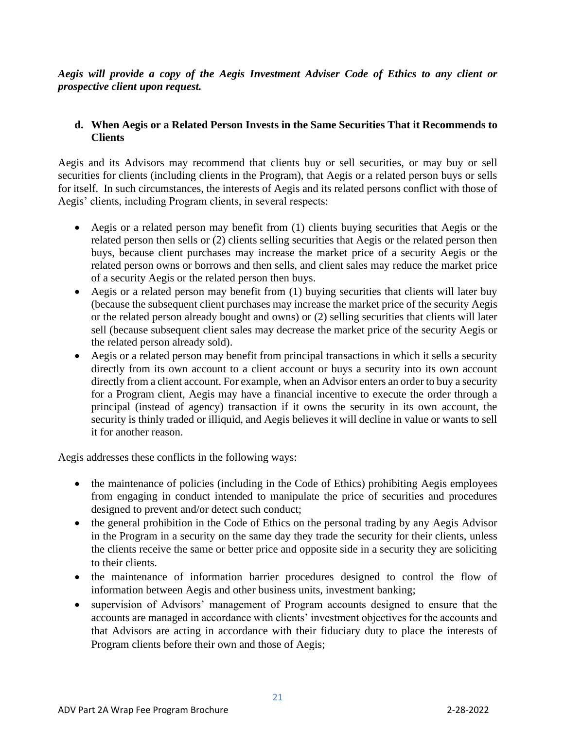*Aegis will provide a copy of the Aegis Investment Adviser Code of Ethics to any client or prospective client upon request.*

#### **d. When Aegis or a Related Person Invests in the Same Securities That it Recommends to Clients**

Aegis and its Advisors may recommend that clients buy or sell securities, or may buy or sell securities for clients (including clients in the Program), that Aegis or a related person buys or sells for itself. In such circumstances, the interests of Aegis and its related persons conflict with those of Aegis' clients, including Program clients, in several respects:

- Aegis or a related person may benefit from (1) clients buying securities that Aegis or the related person then sells or (2) clients selling securities that Aegis or the related person then buys, because client purchases may increase the market price of a security Aegis or the related person owns or borrows and then sells, and client sales may reduce the market price of a security Aegis or the related person then buys.
- Aegis or a related person may benefit from (1) buying securities that clients will later buy (because the subsequent client purchases may increase the market price of the security Aegis or the related person already bought and owns) or (2) selling securities that clients will later sell (because subsequent client sales may decrease the market price of the security Aegis or the related person already sold).
- Aegis or a related person may benefit from principal transactions in which it sells a security directly from its own account to a client account or buys a security into its own account directly from a client account. For example, when an Advisor enters an order to buy a security for a Program client, Aegis may have a financial incentive to execute the order through a principal (instead of agency) transaction if it owns the security in its own account, the security is thinly traded or illiquid, and Aegis believes it will decline in value or wants to sell it for another reason.

Aegis addresses these conflicts in the following ways:

- the maintenance of policies (including in the Code of Ethics) prohibiting Aegis employees from engaging in conduct intended to manipulate the price of securities and procedures designed to prevent and/or detect such conduct;
- the general prohibition in the Code of Ethics on the personal trading by any Aegis Advisor in the Program in a security on the same day they trade the security for their clients, unless the clients receive the same or better price and opposite side in a security they are soliciting to their clients.
- the maintenance of information barrier procedures designed to control the flow of information between Aegis and other business units, investment banking;
- supervision of Advisors' management of Program accounts designed to ensure that the accounts are managed in accordance with clients' investment objectives for the accounts and that Advisors are acting in accordance with their fiduciary duty to place the interests of Program clients before their own and those of Aegis;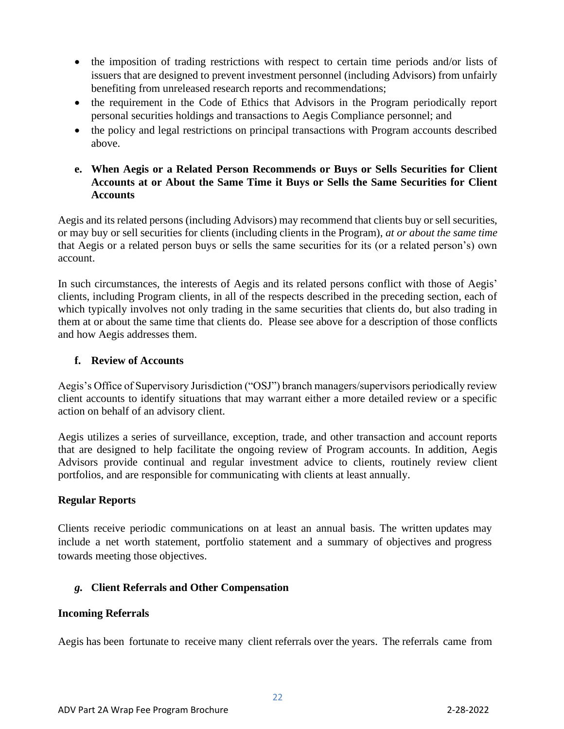- the imposition of trading restrictions with respect to certain time periods and/or lists of issuers that are designed to prevent investment personnel (including Advisors) from unfairly benefiting from unreleased research reports and recommendations;
- the requirement in the Code of Ethics that Advisors in the Program periodically report personal securities holdings and transactions to Aegis Compliance personnel; and
- the policy and legal restrictions on principal transactions with Program accounts described above.

#### **e. When Aegis or a Related Person Recommends or Buys or Sells Securities for Client Accounts at or About the Same Time it Buys or Sells the Same Securities for Client Accounts**

Aegis and its related persons (including Advisors) may recommend that clients buy or sell securities, or may buy or sell securities for clients (including clients in the Program), *at or about the same time*  that Aegis or a related person buys or sells the same securities for its (or a related person's) own account.

In such circumstances, the interests of Aegis and its related persons conflict with those of Aegis' clients, including Program clients, in all of the respects described in the preceding section, each of which typically involves not only trading in the same securities that clients do, but also trading in them at or about the same time that clients do. Please see above for a description of those conflicts and how Aegis addresses them.

#### **f. Review of Accounts**

Aegis's Office of Supervisory Jurisdiction ("OSJ") branch managers/supervisors periodically review client accounts to identify situations that may warrant either a more detailed review or a specific action on behalf of an advisory client.

Aegis utilizes a series of surveillance, exception, trade, and other transaction and account reports that are designed to help facilitate the ongoing review of Program accounts. In addition, Aegis Advisors provide continual and regular investment advice to clients, routinely review client portfolios, and are responsible for communicating with clients at least annually.

#### **Regular Reports**

Clients receive periodic communications on at least an annual basis. The written updates may include a net worth statement, portfolio statement and a summary of objectives and progress towards meeting those objectives.

#### *g.* **Client Referrals and Other Compensation**

#### **Incoming Referrals**

Aegis has been fortunate to receive many client referrals over the years. The referrals came from